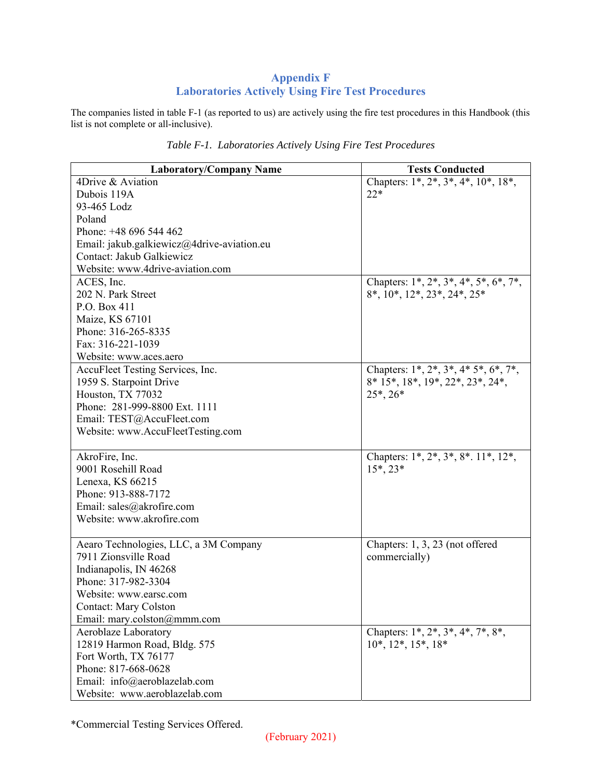## **Appendix F Laboratories Actively Using Fire Test Procedures**

The companies listed in table F-1 (as reported to us) are actively using the fire test procedures in this Handbook (this list is not complete or all-inclusive).

| <b>Laboratory/Company Name</b>             | <b>Tests Conducted</b>                         |
|--------------------------------------------|------------------------------------------------|
| 4Drive & Aviation                          | Chapters: $1^*, 2^*, 3^*, 4^*, 10^*, 18^*,$    |
| Dubois 119A                                | $22*$                                          |
| 93-465 Lodz                                |                                                |
| Poland                                     |                                                |
| Phone: +48 696 544 462                     |                                                |
| Email: jakub.galkiewicz@4drive-aviation.eu |                                                |
| Contact: Jakub Galkiewicz                  |                                                |
| Website: www.4drive-aviation.com           |                                                |
| ACES, Inc.                                 | Chapters: $1^*, 2^*, 3^*, 4^*, 5^*, 6^*, 7^*,$ |
| 202 N. Park Street                         | 8*, 10*, 12*, 23*, 24*, 25*                    |
| P.O. Box 411                               |                                                |
| Maize, KS 67101                            |                                                |
| Phone: 316-265-8335                        |                                                |
| Fax: 316-221-1039                          |                                                |
| Website: www.aces.aero                     |                                                |
| AccuFleet Testing Services, Inc.           | Chapters: $1^*, 2^*, 3^*, 4^*, 5^*, 6^*, 7^*,$ |
| 1959 S. Starpoint Drive                    | 8* 15*, 18*, 19*, 22*, 23*, 24*,               |
| Houston, TX 77032                          | $25^*$ , $26^*$                                |
| Phone: 281-999-8800 Ext. 1111              |                                                |
| Email: TEST@AccuFleet.com                  |                                                |
| Website: www.AccuFleetTesting.com          |                                                |
|                                            |                                                |
| AkroFire, Inc.                             | Chapters: $1^*, 2^*, 3^*, 8^*. 11^*. 12^*.$    |
| 9001 Rosehill Road                         | $15^*$ , $23^*$                                |
| Lenexa, KS 66215                           |                                                |
| Phone: 913-888-7172                        |                                                |
| Email: sales@akrofire.com                  |                                                |
| Website: www.akrofire.com                  |                                                |
|                                            |                                                |
| Aearo Technologies, LLC, a 3M Company      | Chapters: 1, 3, 23 (not offered                |
| 7911 Zionsville Road                       | commercially)                                  |
| Indianapolis, IN 46268                     |                                                |
| Phone: 317-982-3304                        |                                                |
| Website: www.earsc.com                     |                                                |
| <b>Contact: Mary Colston</b>               |                                                |
| Email: mary.colston@mmm.com                |                                                |
| Aeroblaze Laboratory                       | Chapters: $1^*, 2^*, 3^*, 4^*, 7^*, 8^*,$      |
| 12819 Harmon Road, Bldg. 575               | $10^*, 12^*, 15^*, 18^*$                       |
| Fort Worth, TX 76177                       |                                                |
| Phone: 817-668-0628                        |                                                |
| Email: info@aeroblazelab.com               |                                                |
| Website: www.aeroblazelab.com              |                                                |

| Table F-1. Laboratories Actively Using Fire Test Procedures |  |
|-------------------------------------------------------------|--|
|-------------------------------------------------------------|--|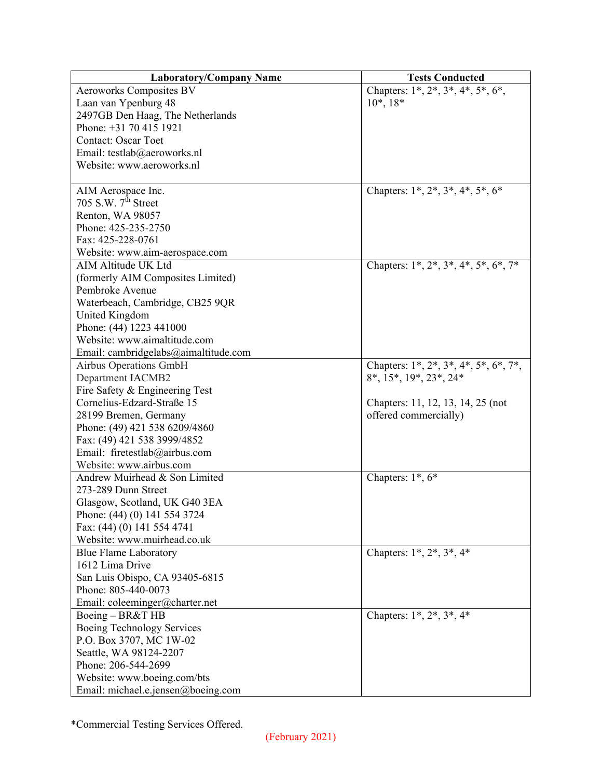| <b>Laboratory/Company Name</b>       | <b>Tests Conducted</b>                                          |
|--------------------------------------|-----------------------------------------------------------------|
| <b>Aeroworks Composites BV</b>       | Chapters: $1^*, 2^*, 3^*, 4^*, 5^*, 6^*,$                       |
| Laan van Ypenburg 48                 | $10^*, 18^*$                                                    |
| 2497GB Den Haag, The Netherlands     |                                                                 |
| Phone: +31 70 415 1921               |                                                                 |
| <b>Contact: Oscar Toet</b>           |                                                                 |
| Email: testlab@aeroworks.nl          |                                                                 |
| Website: www.aeroworks.nl            |                                                                 |
|                                      |                                                                 |
| AIM Aerospace Inc.                   | Chapters: $1^*, 2^*, 3^*, 4^*, 5^*, 6^*$                        |
| 705 S.W. $7th$ Street                |                                                                 |
| Renton, WA 98057                     |                                                                 |
| Phone: 425-235-2750                  |                                                                 |
| Fax: 425-228-0761                    |                                                                 |
| Website: www.aim-aerospace.com       |                                                                 |
| AIM Altitude UK Ltd                  | Chapters: $1^*$ , $2^*$ , $3^*$ , $4^*$ , $5^*$ , $6^*$ , $7^*$ |
| (formerly AIM Composites Limited)    |                                                                 |
| Pembroke Avenue                      |                                                                 |
| Waterbeach, Cambridge, CB25 9QR      |                                                                 |
| United Kingdom                       |                                                                 |
| Phone: (44) 1223 441000              |                                                                 |
| Website: www.aimaltitude.com         |                                                                 |
| Email: cambridgelabs@aimaltitude.com |                                                                 |
| Airbus Operations GmbH               | Chapters: 1*, 2*, 3*, 4*, 5*, 6*, 7*,                           |
| <b>Department IACMB2</b>             | 8*, 15*, 19*, 23*, 24*                                          |
| Fire Safety & Engineering Test       |                                                                 |
| Cornelius-Edzard-Straße 15           | Chapters: 11, 12, 13, 14, 25 (not                               |
| 28199 Bremen, Germany                | offered commercially)                                           |
| Phone: (49) 421 538 6209/4860        |                                                                 |
| Fax: (49) 421 538 3999/4852          |                                                                 |
| Email: firetestlab@airbus.com        |                                                                 |
| Website: www.airbus.com              |                                                                 |
| Andrew Muirhead & Son Limited        | Chapters: $1^*$ , $6^*$                                         |
| 273-289 Dunn Street                  |                                                                 |
| Glasgow, Scotland, UK G40 3EA        |                                                                 |
| Phone: (44) (0) 141 554 3724         |                                                                 |
| Fax: (44) (0) 141 554 4741           |                                                                 |
| Website: www.muirhead.co.uk          |                                                                 |
| <b>Blue Flame Laboratory</b>         | Chapters: 1*, 2*, 3*, 4*                                        |
| 1612 Lima Drive                      |                                                                 |
| San Luis Obispo, CA 93405-6815       |                                                                 |
| Phone: 805-440-0073                  |                                                                 |
| Email: coleeminger@charter.net       |                                                                 |
| Boeing - BR&T HB                     | Chapters: $1^*, 2^*, 3^*, 4^*$                                  |
| Boeing Technology Services           |                                                                 |
| P.O. Box 3707, MC 1W-02              |                                                                 |
| Seattle, WA 98124-2207               |                                                                 |
| Phone: 206-544-2699                  |                                                                 |
| Website: www.boeing.com/bts          |                                                                 |
| Email: michael.e.jensen@boeing.com   |                                                                 |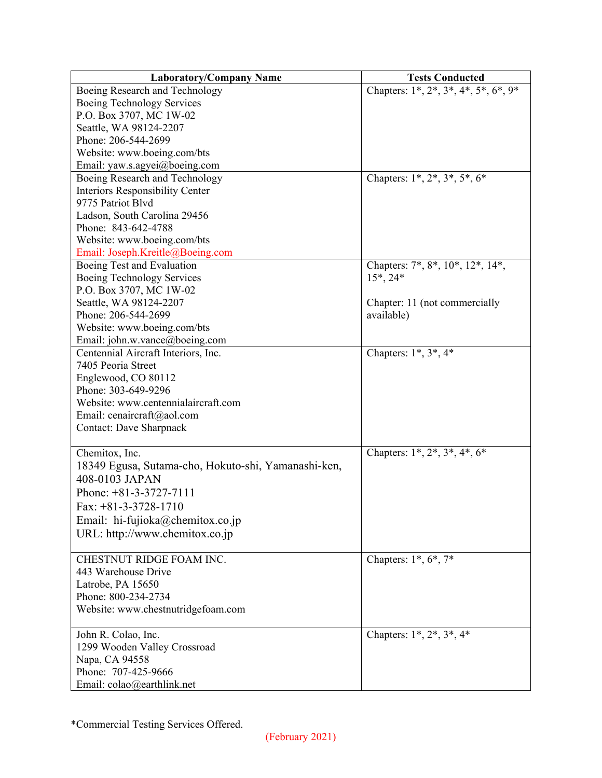| <b>Laboratory/Company Name</b>                      | <b>Tests Conducted</b>                               |
|-----------------------------------------------------|------------------------------------------------------|
| Boeing Research and Technology                      | Chapters: $1^*, 2^*, 3^*, 4^*, 5^*, 6^*, 9^*$        |
| Boeing Technology Services                          |                                                      |
| P.O. Box 3707, MC 1W-02                             |                                                      |
| Seattle, WA 98124-2207                              |                                                      |
| Phone: 206-544-2699                                 |                                                      |
| Website: www.boeing.com/bts                         |                                                      |
| Email: yaw.s.agyei@boeing.com                       |                                                      |
| Boeing Research and Technology                      | Chapters: 1*, 2*, 3*, 5*, 6*                         |
| Interiors Responsibility Center                     |                                                      |
| 9775 Patriot Blvd                                   |                                                      |
| Ladson, South Carolina 29456                        |                                                      |
| Phone: 843-642-4788                                 |                                                      |
| Website: www.boeing.com/bts                         |                                                      |
| Email: Joseph.Kreitle@Boeing.com                    |                                                      |
| Boeing Test and Evaluation                          | Chapters: $7^*$ , $8^*$ , $10^*$ , $12^*$ , $14^*$ , |
| Boeing Technology Services                          | $15^*$ , 24 $*$                                      |
| P.O. Box 3707, MC 1W-02                             |                                                      |
| Seattle, WA 98124-2207                              | Chapter: 11 (not commercially                        |
| Phone: 206-544-2699                                 | available)                                           |
| Website: www.boeing.com/bts                         |                                                      |
| Email: john.w.vance@boeing.com                      |                                                      |
| Centennial Aircraft Interiors, Inc.                 | Chapters: $1^*, 3^*, 4^*$                            |
| 7405 Peoria Street                                  |                                                      |
| Englewood, CO 80112                                 |                                                      |
| Phone: 303-649-9296                                 |                                                      |
| Website: www.centennialaircraft.com                 |                                                      |
| Email: cenaircraft@aol.com                          |                                                      |
| <b>Contact: Dave Sharpnack</b>                      |                                                      |
|                                                     |                                                      |
| Chemitox, Inc.                                      | Chapters: $1^*, 2^*, 3^*, 4^*, 6^*$                  |
| 18349 Egusa, Sutama-cho, Hokuto-shi, Yamanashi-ken, |                                                      |
| 408-0103 JAPAN                                      |                                                      |
| Phone: $+81-3-3727-7111$                            |                                                      |
| Fax: $+81-3-3728-1710$                              |                                                      |
| Email: hi-fujioka@chemitox.co.jp                    |                                                      |
| URL: http://www.chemitox.co.jp                      |                                                      |
|                                                     |                                                      |
| CHESTNUT RIDGE FOAM INC.                            | Chapters: $1^*, 6^*, 7^*$                            |
| 443 Warehouse Drive                                 |                                                      |
| Latrobe, PA 15650                                   |                                                      |
| Phone: 800-234-2734                                 |                                                      |
| Website: www.chestnutridgefoam.com                  |                                                      |
|                                                     |                                                      |
| John R. Colao, Inc.                                 | Chapters: $1^*, 2^*, 3^*, 4^*$                       |
| 1299 Wooden Valley Crossroad                        |                                                      |
| Napa, CA 94558                                      |                                                      |
| Phone: 707-425-9666                                 |                                                      |
| Email: colao@earthlink.net                          |                                                      |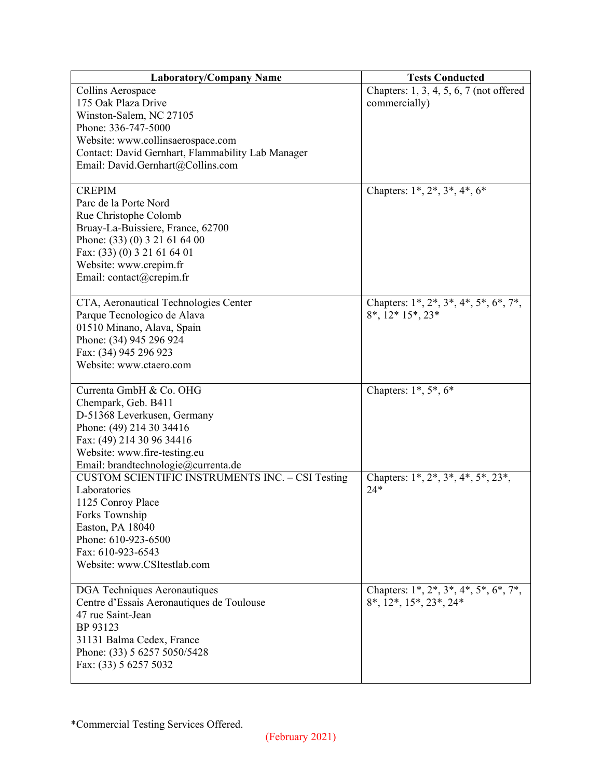| <b>Laboratory/Company Name</b>                          | <b>Tests Conducted</b>                         |
|---------------------------------------------------------|------------------------------------------------|
| Collins Aerospace                                       | Chapters: 1, 3, 4, 5, 6, 7 (not offered        |
| 175 Oak Plaza Drive                                     | commercially)                                  |
| Winston-Salem, NC 27105                                 |                                                |
| Phone: 336-747-5000                                     |                                                |
| Website: www.collinsaerospace.com                       |                                                |
| Contact: David Gernhart, Flammability Lab Manager       |                                                |
| Email: David.Gernhart@Collins.com                       |                                                |
|                                                         |                                                |
| <b>CREPIM</b>                                           | Chapters: $1^*, 2^*, 3^*, 4^*, 6^*$            |
| Parc de la Porte Nord                                   |                                                |
| Rue Christophe Colomb                                   |                                                |
| Bruay-La-Buissiere, France, 62700                       |                                                |
| Phone: (33) (0) 3 21 61 64 00                           |                                                |
| Fax: (33) (0) 3 21 61 64 01                             |                                                |
| Website: www.crepim.fr                                  |                                                |
| Email: contact@crepim.fr                                |                                                |
|                                                         |                                                |
| CTA, Aeronautical Technologies Center                   | Chapters: 1*, 2*, 3*, 4*, 5*, 6*, 7*,          |
| Parque Tecnologico de Alava                             | $8^*$ , $12^*$ $15^*$ , $23^*$                 |
| 01510 Minano, Alava, Spain                              |                                                |
| Phone: (34) 945 296 924                                 |                                                |
| Fax: (34) 945 296 923                                   |                                                |
| Website: www.ctaero.com                                 |                                                |
|                                                         |                                                |
| Currenta GmbH & Co. OHG                                 | Chapters: $1^*, 5^*, 6^*$                      |
| Chempark, Geb. B411                                     |                                                |
| D-51368 Leverkusen, Germany                             |                                                |
| Phone: (49) 214 30 34416                                |                                                |
| Fax: (49) 214 30 96 34416                               |                                                |
| Website: www.fire-testing.eu                            |                                                |
| Email: brandtechnologie@currenta.de                     |                                                |
| <b>CUSTOM SCIENTIFIC INSTRUMENTS INC. - CSI Testing</b> | Chapters: $1^*, 2^*, 3^*, 4^*, 5^*, 23^*,$     |
| Laboratories                                            | $24*$                                          |
| 1125 Conroy Place                                       |                                                |
| Forks Township                                          |                                                |
| Easton, PA 18040                                        |                                                |
| Phone: 610-923-6500                                     |                                                |
| Fax: 610-923-6543                                       |                                                |
| Website: www.CSItestlab.com                             |                                                |
|                                                         |                                                |
| DGA Techniques Aeronautiques                            | Chapters: $1^*, 2^*, 3^*, 4^*, 5^*, 6^*, 7^*,$ |
| Centre d'Essais Aeronautiques de Toulouse               | $8^*, 12^*, 15^*, 23^*, 24^*$                  |
| 47 rue Saint-Jean                                       |                                                |
| BP 93123                                                |                                                |
| 31131 Balma Cedex, France                               |                                                |
| Phone: (33) 5 6257 5050/5428                            |                                                |
| Fax: (33) 5 6257 5032                                   |                                                |
|                                                         |                                                |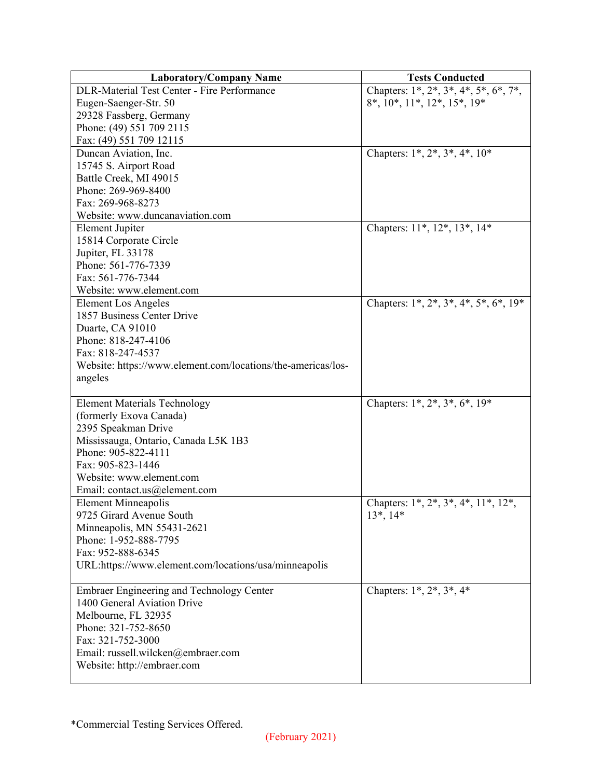| <b>Laboratory/Company Name</b>                               | <b>Tests Conducted</b>                                           |
|--------------------------------------------------------------|------------------------------------------------------------------|
| <b>DLR-Material Test Center - Fire Performance</b>           | Chapters: $1^*, 2^*, 3^*, 4^*, 5^*, 6^*, 7^*,$                   |
| Eugen-Saenger-Str. 50                                        | $8^*$ , $10^*$ , $11^*$ , $12^*$ , $15^*$ , $19^*$               |
| 29328 Fassberg, Germany                                      |                                                                  |
| Phone: (49) 551 709 2115                                     |                                                                  |
| Fax: (49) 551 709 12115                                      |                                                                  |
| Duncan Aviation, Inc.                                        | Chapters: $1^*, 2^*, 3^*, 4^*, 10^*$                             |
| 15745 S. Airport Road                                        |                                                                  |
| Battle Creek, MI 49015                                       |                                                                  |
| Phone: 269-969-8400                                          |                                                                  |
| Fax: 269-968-8273                                            |                                                                  |
| Website: www.duncanaviation.com                              |                                                                  |
| <b>Element Jupiter</b>                                       | Chapters: 11*, 12*, 13*, 14*                                     |
| 15814 Corporate Circle                                       |                                                                  |
| Jupiter, FL 33178                                            |                                                                  |
| Phone: 561-776-7339                                          |                                                                  |
| Fax: 561-776-7344                                            |                                                                  |
| Website: www.element.com                                     |                                                                  |
| <b>Element Los Angeles</b>                                   | Chapters: $1^*$ , $2^*$ , $3^*$ , $4^*$ , $5^*$ , $6^*$ , $19^*$ |
| 1857 Business Center Drive                                   |                                                                  |
| Duarte, CA 91010                                             |                                                                  |
| Phone: 818-247-4106                                          |                                                                  |
| Fax: 818-247-4537                                            |                                                                  |
| Website: https://www.element.com/locations/the-americas/los- |                                                                  |
| angeles                                                      |                                                                  |
|                                                              |                                                                  |
| <b>Element Materials Technology</b>                          | Chapters: $1^*, 2^*, 3^*, 6^*, 19^*$                             |
| (formerly Exova Canada)                                      |                                                                  |
| 2395 Speakman Drive                                          |                                                                  |
| Mississauga, Ontario, Canada L5K 1B3                         |                                                                  |
| Phone: 905-822-4111                                          |                                                                  |
| Fax: 905-823-1446                                            |                                                                  |
| Website: www.element.com                                     |                                                                  |
| Email: contact.us@element.com                                |                                                                  |
| Element Minneapolis                                          | Chapters: $1^*, 2^*, 3^*, 4^*, 11^*, 12^*,$                      |
| 9725 Girard Avenue South                                     | $13^*, 14^*$                                                     |
| Minneapolis, MN 55431-2621                                   |                                                                  |
| Phone: 1-952-888-7795                                        |                                                                  |
| Fax: 952-888-6345                                            |                                                                  |
| URL:https://www.element.com/locations/usa/minneapolis        |                                                                  |
|                                                              |                                                                  |
| <b>Embraer Engineering and Technology Center</b>             | Chapters: $1^*, 2^*, 3^*, 4^*$                                   |
| 1400 General Aviation Drive                                  |                                                                  |
| Melbourne, FL 32935                                          |                                                                  |
| Phone: 321-752-8650                                          |                                                                  |
| Fax: 321-752-3000                                            |                                                                  |
| Email: russell.wilcken@embraer.com                           |                                                                  |
| Website: http://embraer.com                                  |                                                                  |
|                                                              |                                                                  |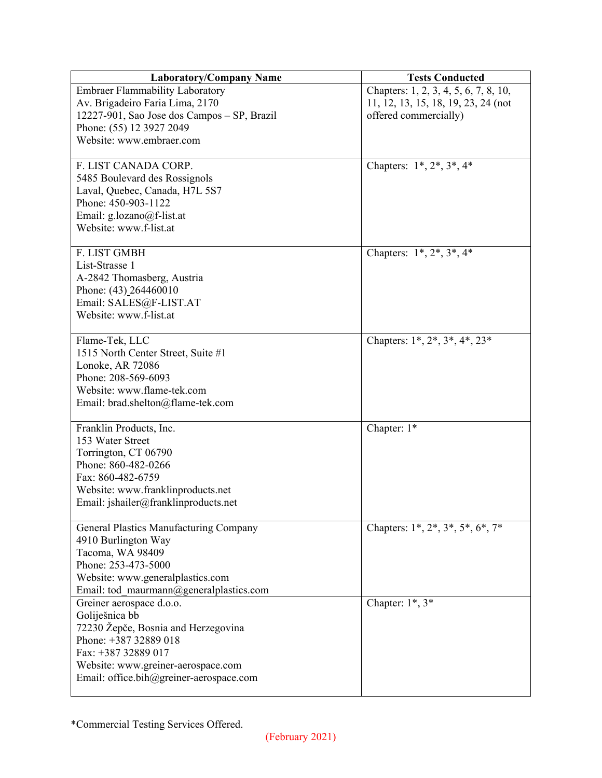| <b>Laboratory/Company Name</b>                         | <b>Tests Conducted</b>                |
|--------------------------------------------------------|---------------------------------------|
| <b>Embraer Flammability Laboratory</b>                 | Chapters: 1, 2, 3, 4, 5, 6, 7, 8, 10, |
| Av. Brigadeiro Faria Lima, 2170                        | 11, 12, 13, 15, 18, 19, 23, 24 (not   |
| 12227-901, Sao Jose dos Campos - SP, Brazil            | offered commercially)                 |
| Phone: (55) 12 3927 2049                               |                                       |
| Website: www.embraer.com                               |                                       |
|                                                        |                                       |
| F. LIST CANADA CORP.                                   | Chapters: $1^*, 2^*, 3^*, 4^*$        |
| 5485 Boulevard des Rossignols                          |                                       |
| Laval, Quebec, Canada, H7L 5S7                         |                                       |
| Phone: 450-903-1122                                    |                                       |
| Email: g.lozano@f-list.at                              |                                       |
| Website: www.f-list.at                                 |                                       |
|                                                        |                                       |
| F. LIST GMBH                                           | Chapters: $1^*, 2^*, 3^*, 4^*$        |
| List-Strasse 1                                         |                                       |
| A-2842 Thomasberg, Austria                             |                                       |
| Phone: (43)_264460010                                  |                                       |
| Email: SALES@F-LIST.AT                                 |                                       |
| Website: www.f-list.at                                 |                                       |
|                                                        | Chapters: $1^*, 2^*, 3^*, 4^*, 23^*$  |
| Flame-Tek, LLC                                         |                                       |
| 1515 North Center Street, Suite #1<br>Lonoke, AR 72086 |                                       |
| Phone: 208-569-6093                                    |                                       |
| Website: www.flame-tek.com                             |                                       |
| Email: brad.shelton@flame-tek.com                      |                                       |
|                                                        |                                       |
| Franklin Products, Inc.                                | Chapter: 1*                           |
| 153 Water Street                                       |                                       |
| Torrington, CT 06790                                   |                                       |
| Phone: 860-482-0266                                    |                                       |
| Fax: 860-482-6759                                      |                                       |
| Website: www.franklinproducts.net                      |                                       |
| Email: jshailer@franklinproducts.net                   |                                       |
|                                                        |                                       |
| General Plastics Manufacturing Company                 | Chapters: 1*, 2*, 3*, 5*, 6*, 7*      |
| 4910 Burlington Way                                    |                                       |
| Tacoma, WA 98409                                       |                                       |
| Phone: 253-473-5000                                    |                                       |
| Website: www.generalplastics.com                       |                                       |
| Email: tod maurmann@generalplastics.com                |                                       |
| Greiner aerospace d.o.o.                               | Chapter: $1^*$ , $3^*$                |
| Goliješnica bb                                         |                                       |
| 72230 Žepče, Bosnia and Herzegovina                    |                                       |
| Phone: +387 32889 018                                  |                                       |
| Fax: +387 32889 017                                    |                                       |
| Website: www.greiner-aerospace.com                     |                                       |
| Email: office.bih@greiner-aerospace.com                |                                       |
|                                                        |                                       |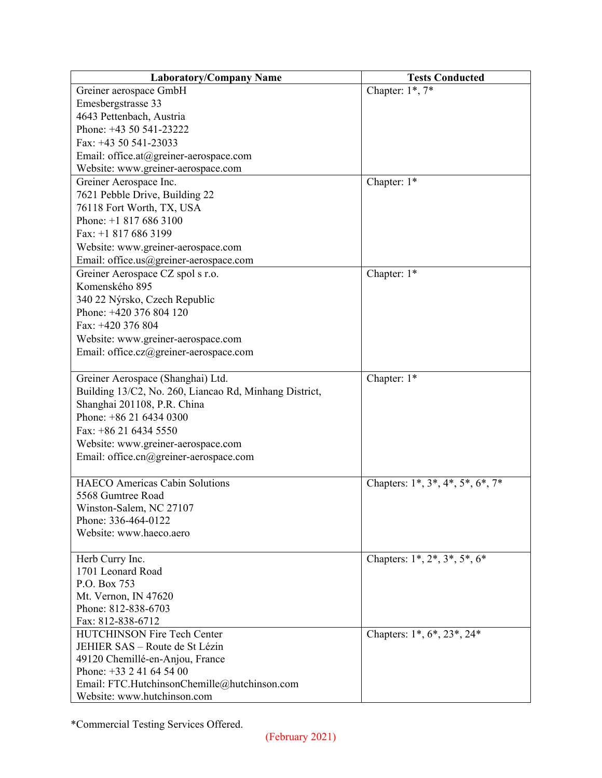| <b>Laboratory/Company Name</b>                         | <b>Tests Conducted</b>                   |
|--------------------------------------------------------|------------------------------------------|
| Greiner aerospace GmbH                                 | Chapter: $1^*$ , $7^*$                   |
| Emesbergstrasse 33                                     |                                          |
| 4643 Pettenbach, Austria                               |                                          |
| Phone: +43 50 541-23222                                |                                          |
| Fax: $+43$ 50 541-23033                                |                                          |
| Email: office.at@greiner-aerospace.com                 |                                          |
| Website: www.greiner-aerospace.com                     |                                          |
| Greiner Aerospace Inc.                                 | Chapter: 1*                              |
| 7621 Pebble Drive, Building 22                         |                                          |
| 76118 Fort Worth, TX, USA                              |                                          |
| Phone: $+18176863100$                                  |                                          |
| Fax: +1 817 686 3199                                   |                                          |
| Website: www.greiner-aerospace.com                     |                                          |
| Email: office.us@greiner-aerospace.com                 |                                          |
| Greiner Aerospace CZ spol s r.o.                       | Chapter: 1*                              |
| Komenského 895                                         |                                          |
| 340 22 Nýrsko, Czech Republic                          |                                          |
| Phone: +420 376 804 120                                |                                          |
| Fax: +420 376 804                                      |                                          |
| Website: www.greiner-aerospace.com                     |                                          |
| Email: office.cz@greiner-aerospace.com                 |                                          |
|                                                        |                                          |
| Greiner Aerospace (Shanghai) Ltd.                      | Chapter: 1*                              |
| Building 13/C2, No. 260, Liancao Rd, Minhang District, |                                          |
| Shanghai 201108, P.R. China                            |                                          |
| Phone: $+862164340300$                                 |                                          |
| Fax: +86 21 6434 5550                                  |                                          |
| Website: www.greiner-aerospace.com                     |                                          |
| Email: office.cn@greiner-aerospace.com                 |                                          |
|                                                        |                                          |
| <b>HAECO</b> Americas Cabin Solutions                  | Chapters: $1^*, 3^*, 4^*, 5^*, 6^*, 7^*$ |
| 5568 Gumtree Road                                      |                                          |
| Winston-Salem, NC 27107                                |                                          |
| Phone: 336-464-0122                                    |                                          |
| Website: www.haeco.aero                                |                                          |
|                                                        |                                          |
| Herb Curry Inc.                                        | Chapters: $1^*, 2^*, 3^*, 5^*, 6^*$      |
| 1701 Leonard Road                                      |                                          |
| P.O. Box 753                                           |                                          |
| Mt. Vernon, IN 47620                                   |                                          |
| Phone: 812-838-6703                                    |                                          |
| Fax: 812-838-6712                                      |                                          |
| HUTCHINSON Fire Tech Center                            | Chapters: 1*, 6*, 23*, 24*               |
| JEHIER SAS - Route de St Lézin                         |                                          |
| 49120 Chemillé-en-Anjou, France                        |                                          |
| Phone: +33 2 41 64 54 00                               |                                          |
| Email: FTC.HutchinsonChemille@hutchinson.com           |                                          |
| Website: www.hutchinson.com                            |                                          |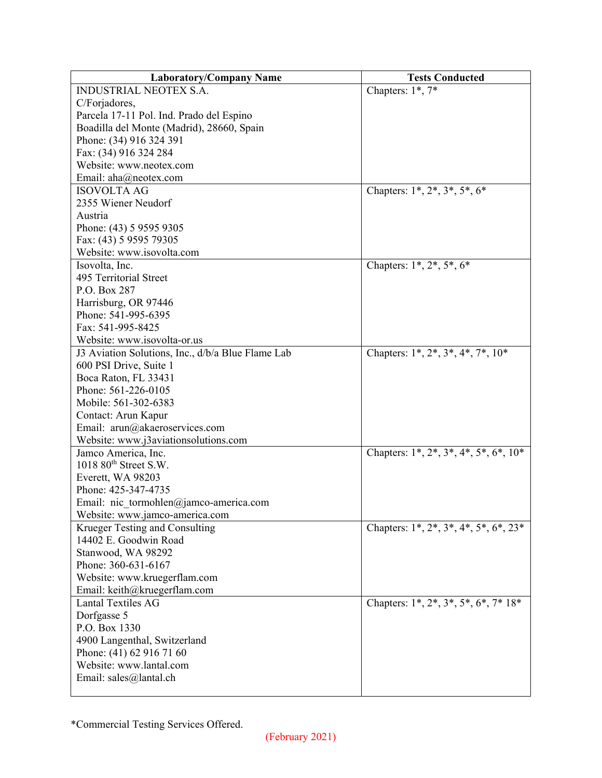| <b>Laboratory/Company Name</b>                    | <b>Tests Conducted</b>                |
|---------------------------------------------------|---------------------------------------|
| <b>INDUSTRIAL NEOTEX S.A.</b>                     | Chapters: $1^*$ , $7^*$               |
| C/Forjadores,                                     |                                       |
| Parcela 17-11 Pol. Ind. Prado del Espino          |                                       |
| Boadilla del Monte (Madrid), 28660, Spain         |                                       |
| Phone: (34) 916 324 391                           |                                       |
| Fax: (34) 916 324 284                             |                                       |
| Website: www.neotex.com                           |                                       |
| Email: aha@neotex.com                             |                                       |
| <b>ISOVOLTA AG</b>                                | Chapters: $1^*, 2^*, 3^*, 5^*, 6^*$   |
| 2355 Wiener Neudorf                               |                                       |
| Austria                                           |                                       |
| Phone: (43) 5 9595 9305                           |                                       |
| Fax: (43) 5 9595 79305                            |                                       |
| Website: www.isovolta.com                         |                                       |
| Isovolta, Inc.                                    | Chapters: $1^*, 2^*, 5^*, 6^*$        |
| 495 Territorial Street                            |                                       |
| P.O. Box 287                                      |                                       |
| Harrisburg, OR 97446                              |                                       |
| Phone: 541-995-6395                               |                                       |
| Fax: 541-995-8425                                 |                                       |
| Website: www.isovolta-or.us                       |                                       |
| J3 Aviation Solutions, Inc., d/b/a Blue Flame Lab | Chapters: 1*, 2*, 3*, 4*, 7*, 10*     |
| 600 PSI Drive, Suite 1                            |                                       |
| Boca Raton, FL 33431                              |                                       |
| Phone: 561-226-0105                               |                                       |
| Mobile: 561-302-6383                              |                                       |
| Contact: Arun Kapur                               |                                       |
| Email: arun@akaeroservices.com                    |                                       |
| Website: www.j3aviationsolutions.com              |                                       |
| Jamco America, Inc.                               | Chapters: 1*, 2*, 3*, 4*, 5*, 6*, 10* |
| 1018 80 <sup>th</sup> Street S.W.                 |                                       |
| Everett, WA 98203                                 |                                       |
| Phone: 425-347-4735                               |                                       |
| Email: nic tormohlen@jamco-america.com            |                                       |
| Website: www.jamco-america.com                    |                                       |
| Krueger Testing and Consulting                    | Chapters: 1*, 2*, 3*, 4*, 5*, 6*, 23* |
| 14402 E. Goodwin Road                             |                                       |
| Stanwood, WA 98292                                |                                       |
| Phone: 360-631-6167                               |                                       |
| Website: www.kruegerflam.com                      |                                       |
| Email: keith@kruegerflam.com                      |                                       |
| <b>Lantal Textiles AG</b>                         | Chapters: 1*, 2*, 3*, 5*, 6*, 7* 18*  |
| Dorfgasse 5                                       |                                       |
| P.O. Box 1330                                     |                                       |
| 4900 Langenthal, Switzerland                      |                                       |
| Phone: (41) 62 916 71 60                          |                                       |
| Website: www.lantal.com                           |                                       |
| Email: sales@lantal.ch                            |                                       |
|                                                   |                                       |
|                                                   |                                       |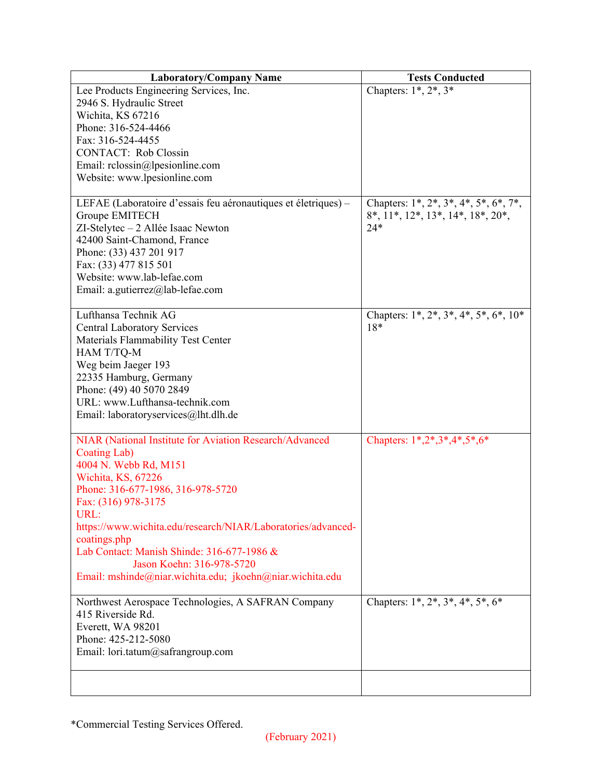| <b>Laboratory/Company Name</b>                                 | <b>Tests Conducted</b>                         |
|----------------------------------------------------------------|------------------------------------------------|
| Lee Products Engineering Services, Inc.                        | Chapters: $1^*, 2^*, 3^*$                      |
| 2946 S. Hydraulic Street                                       |                                                |
| Wichita, KS 67216                                              |                                                |
| Phone: 316-524-4466                                            |                                                |
| Fax: 316-524-4455                                              |                                                |
| <b>CONTACT:</b> Rob Clossin                                    |                                                |
| Email: rclossin@lpesionline.com                                |                                                |
| Website: www.lpesionline.com                                   |                                                |
|                                                                |                                                |
| LEFAE (Laboratoire d'essais feu aéronautiques et életriques) – | Chapters: $1^*, 2^*, 3^*, 4^*, 5^*, 6^*, 7^*,$ |
| Groupe EMITECH                                                 | $8^*, 11^*, 12^*, 13^*, 14^*, 18^*, 20^*,$     |
| ZI-Stelytec - 2 Allée Isaac Newton                             | $24*$                                          |
| 42400 Saint-Chamond, France                                    |                                                |
| Phone: (33) 437 201 917                                        |                                                |
| Fax: (33) 477 815 501                                          |                                                |
| Website: www.lab-lefae.com                                     |                                                |
| Email: a.gutierrez@lab-lefae.com                               |                                                |
|                                                                |                                                |
| Lufthansa Technik AG                                           | Chapters: $1^*, 2^*, 3^*, 4^*, 5^*, 6^*, 10^*$ |
| <b>Central Laboratory Services</b>                             | 18*                                            |
| Materials Flammability Test Center                             |                                                |
| HAM T/TQ-M                                                     |                                                |
| Weg beim Jaeger 193                                            |                                                |
| 22335 Hamburg, Germany                                         |                                                |
| Phone: (49) 40 5070 2849                                       |                                                |
| URL: www.Lufthansa-technik.com                                 |                                                |
| Email: laboratoryservices@lht.dlh.de                           |                                                |
|                                                                |                                                |
| NIAR (National Institute for Aviation Research/Advanced        | Chapters: $1*, 2*, 3*, 4*, 5*, 6*$             |
| Coating Lab)                                                   |                                                |
| 4004 N. Webb Rd, M151                                          |                                                |
| Wichita, KS, 67226                                             |                                                |
| Phone: 316-677-1986, 316-978-5720                              |                                                |
| Fax: (316) 978-3175                                            |                                                |
| URL:                                                           |                                                |
| https://www.wichita.edu/research/NIAR/Laboratories/advanced-   |                                                |
| coatings.php                                                   |                                                |
| Lab Contact: Manish Shinde: 316-677-1986 &                     |                                                |
| Jason Koehn: 316-978-5720                                      |                                                |
| Email: mshinde@niar.wichita.edu; jkoehn@niar.wichita.edu       |                                                |
|                                                                |                                                |
| Northwest Aerospace Technologies, A SAFRAN Company             | Chapters: $1^*, 2^*, 3^*, 4^*, 5^*, 6^*$       |
| 415 Riverside Rd.                                              |                                                |
| Everett, WA 98201                                              |                                                |
| Phone: 425-212-5080                                            |                                                |
| Email: lori.tatum@safrangroup.com                              |                                                |
|                                                                |                                                |
|                                                                |                                                |
|                                                                |                                                |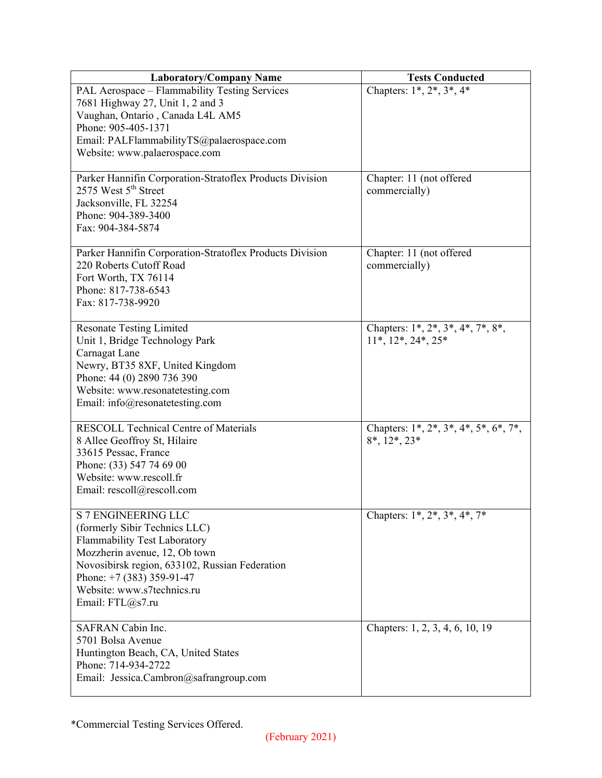| <b>Laboratory/Company Name</b>                           | <b>Tests Conducted</b>                    |
|----------------------------------------------------------|-------------------------------------------|
| PAL Aerospace - Flammability Testing Services            | Chapters: $1^*, 2^*, 3^*, 4^*$            |
| 7681 Highway 27, Unit 1, 2 and 3                         |                                           |
| Vaughan, Ontario, Canada L4L AM5                         |                                           |
| Phone: 905-405-1371                                      |                                           |
| Email: PALFlammabilityTS@palaerospace.com                |                                           |
| Website: www.palaerospace.com                            |                                           |
|                                                          |                                           |
| Parker Hannifin Corporation-Stratoflex Products Division | Chapter: 11 (not offered                  |
| 2575 West 5 <sup>th</sup> Street                         | commercially)                             |
| Jacksonville, FL 32254                                   |                                           |
| Phone: 904-389-3400                                      |                                           |
| Fax: 904-384-5874                                        |                                           |
|                                                          |                                           |
| Parker Hannifin Corporation-Stratoflex Products Division | Chapter: 11 (not offered                  |
| 220 Roberts Cutoff Road                                  | commercially)                             |
| Fort Worth, TX 76114                                     |                                           |
| Phone: 817-738-6543                                      |                                           |
| Fax: 817-738-9920                                        |                                           |
|                                                          |                                           |
| <b>Resonate Testing Limited</b>                          | Chapters: $1^*, 2^*, 3^*, 4^*, 7^*, 8^*,$ |
| Unit 1, Bridge Technology Park                           | $11^*, 12^*, 24^*, 25^*$                  |
| Carnagat Lane                                            |                                           |
| Newry, BT35 8XF, United Kingdom                          |                                           |
| Phone: 44 (0) 2890 736 390                               |                                           |
| Website: www.resonatetesting.com                         |                                           |
| Email: info@resonatetesting.com                          |                                           |
|                                                          |                                           |
| <b>RESCOLL Technical Centre of Materials</b>             | Chapters: 1*, 2*, 3*, 4*, 5*, 6*, 7*,     |
| 8 Allee Geoffroy St, Hilaire                             | $8^*, 12^*, 23^*$                         |
| 33615 Pessac, France                                     |                                           |
| Phone: (33) 547 74 69 00                                 |                                           |
| Website: www.rescoll.fr                                  |                                           |
| Email: rescoll@rescoll.com                               |                                           |
|                                                          |                                           |
| <b>S 7 ENGINEERING LLC</b>                               | Chapters: $1^*, 2^*, 3^*, 4^*, 7^*$       |
| (formerly Sibir Technics LLC)                            |                                           |
| Flammability Test Laboratory                             |                                           |
| Mozzherin avenue, 12, Ob town                            |                                           |
| Novosibirsk region, 633102, Russian Federation           |                                           |
| Phone: $+7$ (383) 359-91-47                              |                                           |
| Website: www.s7technics.ru                               |                                           |
| Email: FTL@s7.ru                                         |                                           |
|                                                          |                                           |
| SAFRAN Cabin Inc.                                        | Chapters: 1, 2, 3, 4, 6, 10, 19           |
| 5701 Bolsa Avenue                                        |                                           |
| Huntington Beach, CA, United States                      |                                           |
| Phone: 714-934-2722                                      |                                           |
| Email: Jessica.Cambron@safrangroup.com                   |                                           |
|                                                          |                                           |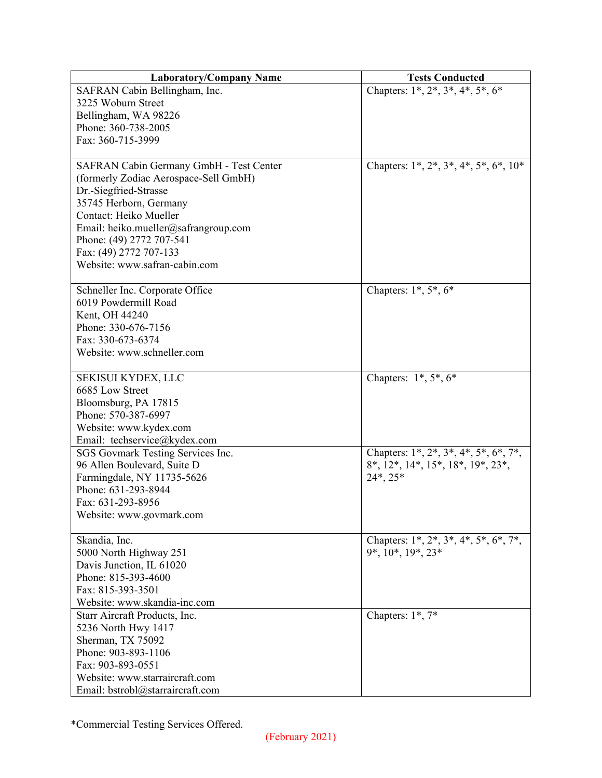| <b>Laboratory/Company Name</b>          | <b>Tests Conducted</b>                                            |
|-----------------------------------------|-------------------------------------------------------------------|
| SAFRAN Cabin Bellingham, Inc.           | Chapters: $1^*, 2^*, 3^*, 4^*, 5^*, 6^*$                          |
| 3225 Woburn Street                      |                                                                   |
| Bellingham, WA 98226                    |                                                                   |
| Phone: 360-738-2005                     |                                                                   |
| Fax: 360-715-3999                       |                                                                   |
|                                         |                                                                   |
| SAFRAN Cabin Germany GmbH - Test Center | Chapters: $1^*, 2^*, 3^*, 4^*, 5^*, 6^*, 10^*$                    |
| (formerly Zodiac Aerospace-Sell GmbH)   |                                                                   |
| Dr.-Siegfried-Strasse                   |                                                                   |
| 35745 Herborn, Germany                  |                                                                   |
| Contact: Heiko Mueller                  |                                                                   |
| Email: heiko.mueller@safrangroup.com    |                                                                   |
| Phone: (49) 2772 707-541                |                                                                   |
| Fax: (49) 2772 707-133                  |                                                                   |
| Website: www.safran-cabin.com           |                                                                   |
|                                         |                                                                   |
| Schneller Inc. Corporate Office         | Chapters: $1^*, 5^*, 6^*$                                         |
| 6019 Powdermill Road                    |                                                                   |
| Kent, OH 44240                          |                                                                   |
| Phone: 330-676-7156                     |                                                                   |
| Fax: 330-673-6374                       |                                                                   |
| Website: www.schneller.com              |                                                                   |
|                                         |                                                                   |
| SEKISUI KYDEX, LLC                      | Chapters: $1^*, 5^*, 6^*$                                         |
| 6685 Low Street                         |                                                                   |
| Bloomsburg, PA 17815                    |                                                                   |
| Phone: 570-387-6997                     |                                                                   |
| Website: www.kydex.com                  |                                                                   |
| Email: techservice@kydex.com            |                                                                   |
| SGS Govmark Testing Services Inc.       | Chapters: $1^*$ , $2^*$ , $3^*$ , $4^*$ , $5^*$ , $6^*$ , $7^*$ , |
| 96 Allen Boulevard, Suite D             | $8^*, 12^*, 14^*, 15^*, 18^*, 19^*, 23^*,$                        |
| Farmingdale, NY 11735-5626              | $24^*$ , $25^*$                                                   |
| Phone: 631-293-8944                     |                                                                   |
| Fax: 631-293-8956                       |                                                                   |
| Website: www.govmark.com                |                                                                   |
|                                         |                                                                   |
| Skandia, Inc.                           | Chapters: $1^*, 2^*, 3^*, 4^*, 5^*, 6^*, 7^*,$                    |
| 5000 North Highway 251                  | 9*, 10*, 19*, 23*                                                 |
| Davis Junction, IL 61020                |                                                                   |
| Phone: 815-393-4600                     |                                                                   |
| Fax: 815-393-3501                       |                                                                   |
| Website: www.skandia-inc.com            |                                                                   |
| Starr Aircraft Products, Inc.           | Chapters: 1*, 7*                                                  |
| 5236 North Hwy 1417                     |                                                                   |
| Sherman, TX 75092                       |                                                                   |
| Phone: 903-893-1106                     |                                                                   |
| Fax: 903-893-0551                       |                                                                   |
| Website: www.starraircraft.com          |                                                                   |
| Email: bstrobl@starraircraft.com        |                                                                   |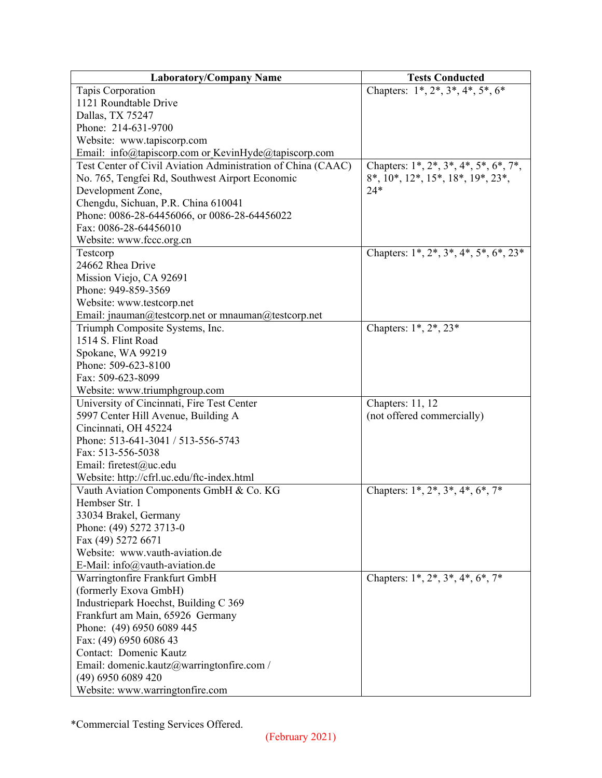| <b>Laboratory/Company Name</b>                               | <b>Tests Conducted</b>                         |
|--------------------------------------------------------------|------------------------------------------------|
| Tapis Corporation                                            | Chapters: $1^*, 2^*, 3^*, 4^*, 5^*, 6^*$       |
| 1121 Roundtable Drive                                        |                                                |
| Dallas, TX 75247                                             |                                                |
| Phone: 214-631-9700                                          |                                                |
| Website: www.tapiscorp.com                                   |                                                |
| Email: info@tapiscorp.com or KevinHyde@tapiscorp.com         |                                                |
| Test Center of Civil Aviation Administration of China (CAAC) | Chapters: 1*, 2*, 3*, 4*, 5*, 6*, 7*,          |
| No. 765, Tengfei Rd, Southwest Airport Economic              | 8*, 10*, 12*, 15*, 18*, 19*, 23*,              |
| Development Zone,                                            | $24*$                                          |
| Chengdu, Sichuan, P.R. China 610041                          |                                                |
| Phone: 0086-28-64456066, or 0086-28-64456022                 |                                                |
| Fax: 0086-28-64456010                                        |                                                |
| Website: www.fccc.org.cn                                     |                                                |
| Testcorp                                                     | Chapters: $1^*, 2^*, 3^*, 4^*, 5^*, 6^*, 23^*$ |
| 24662 Rhea Drive                                             |                                                |
| Mission Viejo, CA 92691                                      |                                                |
| Phone: 949-859-3569                                          |                                                |
| Website: www.testcorp.net                                    |                                                |
| Email: jnauman@testcorp.net or mnauman@testcorp.net          |                                                |
| Triumph Composite Systems, Inc.                              | Chapters: 1*, 2*, 23*                          |
| 1514 S. Flint Road                                           |                                                |
| Spokane, WA 99219                                            |                                                |
| Phone: 509-623-8100                                          |                                                |
| Fax: 509-623-8099                                            |                                                |
| Website: www.triumphgroup.com                                |                                                |
| University of Cincinnati, Fire Test Center                   | Chapters: 11, 12                               |
| 5997 Center Hill Avenue, Building A                          | (not offered commercially)                     |
| Cincinnati, OH 45224                                         |                                                |
| Phone: 513-641-3041 / 513-556-5743                           |                                                |
| Fax: 513-556-5038                                            |                                                |
| Email: firetest@uc.edu                                       |                                                |
| Website: http://cfrl.uc.edu/ftc-index.html                   |                                                |
| Vauth Aviation Components GmbH & Co. KG                      | Chapters: $1^*, 2^*, 3^*, 4^*, 6^*, 7^*$       |
| Hembser Str. 1                                               |                                                |
| 33034 Brakel, Germany                                        |                                                |
| Phone: (49) 5272 3713-0                                      |                                                |
| Fax (49) 5272 6671                                           |                                                |
| Website: www.vauth-aviation.de                               |                                                |
| E-Mail: info@vauth-aviation.de                               |                                                |
| Warringtonfire Frankfurt GmbH                                | Chapters: $1^*, 2^*, 3^*, 4^*, 6^*, 7^*$       |
| (formerly Exova GmbH)                                        |                                                |
| Industriepark Hoechst, Building C 369                        |                                                |
| Frankfurt am Main, 65926 Germany                             |                                                |
| Phone: (49) 6950 6089 445                                    |                                                |
| Fax: (49) 6950 6086 43                                       |                                                |
| Contact: Domenic Kautz                                       |                                                |
| Email: domenic.kautz@warringtonfire.com /                    |                                                |
| (49) 6950 6089 420                                           |                                                |
| Website: www.warringtonfire.com                              |                                                |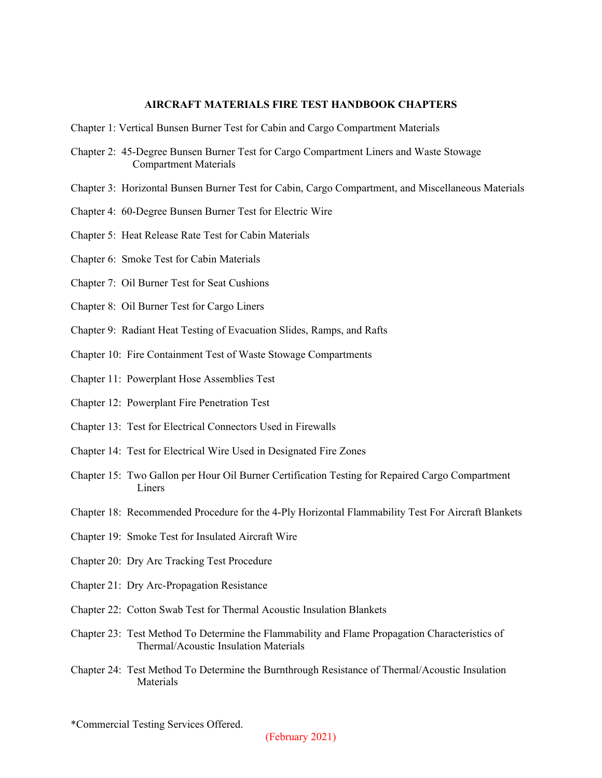## **AIRCRAFT MATERIALS FIRE TEST HANDBOOK CHAPTERS**

- Chapter 1: Vertical Bunsen Burner Test for Cabin and Cargo Compartment Materials
- Chapter 2: 45-Degree Bunsen Burner Test for Cargo Compartment Liners and Waste Stowage Compartment Materials
- Chapter 3: Horizontal Bunsen Burner Test for Cabin, Cargo Compartment, and Miscellaneous Materials
- Chapter 4: 60-Degree Bunsen Burner Test for Electric Wire
- Chapter 5: Heat Release Rate Test for Cabin Materials
- Chapter 6: Smoke Test for Cabin Materials
- Chapter 7: Oil Burner Test for Seat Cushions
- Chapter 8: Oil Burner Test for Cargo Liners
- Chapter 9: Radiant Heat Testing of Evacuation Slides, Ramps, and Rafts
- Chapter 10: Fire Containment Test of Waste Stowage Compartments
- Chapter 11: Powerplant Hose Assemblies Test
- Chapter 12: Powerplant Fire Penetration Test
- Chapter 13: Test for Electrical Connectors Used in Firewalls
- Chapter 14: Test for Electrical Wire Used in Designated Fire Zones
- Chapter 15: Two Gallon per Hour Oil Burner Certification Testing for Repaired Cargo Compartment Liners
- Chapter 18: Recommended Procedure for the 4-Ply Horizontal Flammability Test For Aircraft Blankets
- Chapter 19: Smoke Test for Insulated Aircraft Wire
- Chapter 20: Dry Arc Tracking Test Procedure
- Chapter 21: Dry Arc-Propagation Resistance
- Chapter 22: Cotton Swab Test for Thermal Acoustic Insulation Blankets
- Chapter 23: Test Method To Determine the Flammability and Flame Propagation Characteristics of Thermal/Acoustic Insulation Materials
- Chapter 24: Test Method To Determine the Burnthrough Resistance of Thermal/Acoustic Insulation Materials

<sup>\*</sup>Commercial Testing Services Offered.